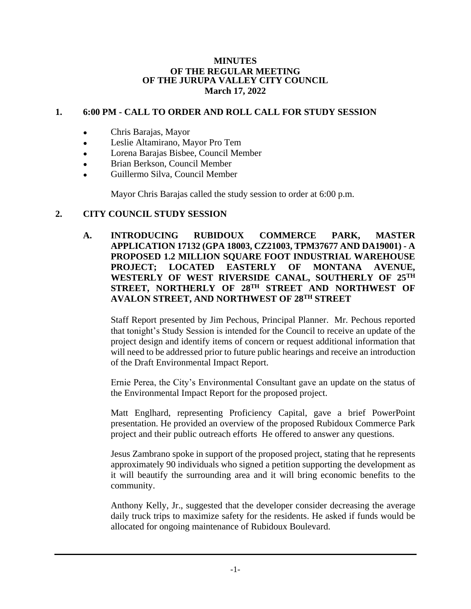#### **MINUTES OF THE REGULAR MEETING OF THE JURUPA VALLEY CITY COUNCIL March 17, 2022**

# **1. 6:00 PM - CALL TO ORDER AND ROLL CALL FOR STUDY SESSION**

- Chris Barajas, Mayor
- Leslie Altamirano, Mayor Pro Tem
- Lorena Barajas Bisbee, Council Member
- Brian Berkson, Council Member
- Guillermo Silva, Council Member

Mayor Chris Barajas called the study session to order at 6:00 p.m.

## **2. CITY COUNCIL STUDY SESSION**

**A. INTRODUCING RUBIDOUX COMMERCE PARK, MASTER APPLICATION 17132 (GPA 18003, CZ21003, TPM37677 AND DA19001) - A PROPOSED 1.2 MILLION SQUARE FOOT INDUSTRIAL WAREHOUSE PROJECT; LOCATED EASTERLY OF MONTANA AVENUE, WESTERLY OF WEST RIVERSIDE CANAL, SOUTHERLY OF 25TH STREET, NORTHERLY OF 28TH STREET AND NORTHWEST OF AVALON STREET, AND NORTHWEST OF 28TH STREET**

Staff Report presented by Jim Pechous, Principal Planner. Mr. Pechous reported that tonight's Study Session is intended for the Council to receive an update of the project design and identify items of concern or request additional information that will need to be addressed prior to future public hearings and receive an introduction of the Draft Environmental Impact Report.

Ernie Perea, the City's Environmental Consultant gave an update on the status of the Environmental Impact Report for the proposed project.

Matt Englhard, representing Proficiency Capital, gave a brief PowerPoint presentation. He provided an overview of the proposed Rubidoux Commerce Park project and their public outreach efforts He offered to answer any questions.

Jesus Zambrano spoke in support of the proposed project, stating that he represents approximately 90 individuals who signed a petition supporting the development as it will beautify the surrounding area and it will bring economic benefits to the community.

Anthony Kelly, Jr., suggested that the developer consider decreasing the average daily truck trips to maximize safety for the residents. He asked if funds would be allocated for ongoing maintenance of Rubidoux Boulevard.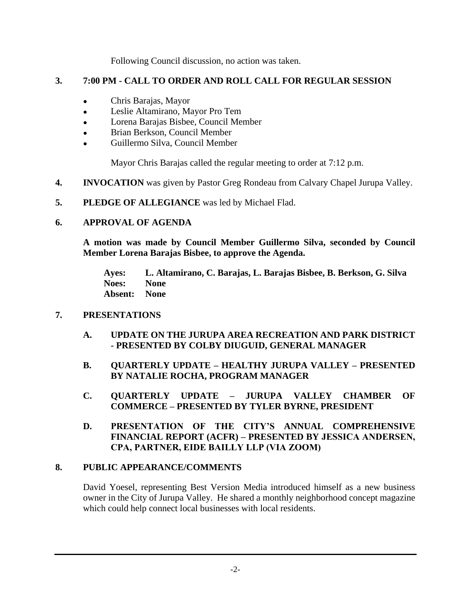Following Council discussion, no action was taken.

# **3. 7:00 PM - CALL TO ORDER AND ROLL CALL FOR REGULAR SESSION**

- Chris Barajas, Mayor
- Leslie Altamirano, Mayor Pro Tem
- Lorena Barajas Bisbee, Council Member
- Brian Berkson, Council Member
- Guillermo Silva, Council Member

Mayor Chris Barajas called the regular meeting to order at 7:12 p.m.

- **4. INVOCATION** was given by Pastor Greg Rondeau from Calvary Chapel Jurupa Valley.
- **5. PLEDGE OF ALLEGIANCE** was led by Michael Flad.

# **6. APPROVAL OF AGENDA**

**A motion was made by Council Member Guillermo Silva, seconded by Council Member Lorena Barajas Bisbee, to approve the Agenda.**

**Ayes: L. Altamirano, C. Barajas, L. Barajas Bisbee, B. Berkson, G. Silva Noes: None Absent: None**

# **7. PRESENTATIONS**

- **A. UPDATE ON THE JURUPA AREA RECREATION AND PARK DISTRICT - PRESENTED BY COLBY DIUGUID, GENERAL MANAGER**
- **B. QUARTERLY UPDATE – HEALTHY JURUPA VALLEY – PRESENTED BY NATALIE ROCHA, PROGRAM MANAGER**
- **C. QUARTERLY UPDATE – JURUPA VALLEY CHAMBER OF COMMERCE – PRESENTED BY TYLER BYRNE, PRESIDENT**
- **D. PRESENTATION OF THE CITY'S ANNUAL COMPREHENSIVE FINANCIAL REPORT (ACFR) – PRESENTED BY JESSICA ANDERSEN, CPA, PARTNER, EIDE BAILLY LLP (VIA ZOOM)**

# **8. PUBLIC APPEARANCE/COMMENTS**

David Yoesel, representing Best Version Media introduced himself as a new business owner in the City of Jurupa Valley. He shared a monthly neighborhood concept magazine which could help connect local businesses with local residents.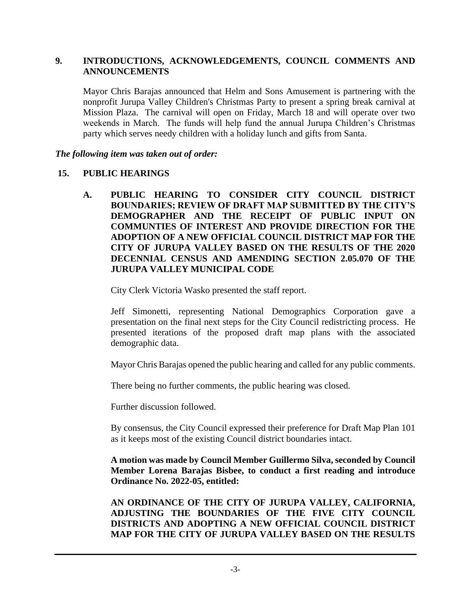#### **9. INTRODUCTIONS, ACKNOWLEDGEMENTS, COUNCIL COMMENTS AND ANNOUNCEMENTS**

Mayor Chris Barajas announced that Helm and Sons Amusement is partnering with the nonprofit Jurupa Valley Children's Christmas Party to present a spring break carnival at Mission Plaza. The carnival will open on Friday, March 18 and will operate over two weekends in March. The funds will help fund the annual Jurupa Children's Christmas party which serves needy children with a holiday lunch and gifts from Santa.

*The following item was taken out of order:*

#### **15. PUBLIC HEARINGS**

**A. PUBLIC HEARING TO CONSIDER CITY COUNCIL DISTRICT BOUNDARIES; REVIEW OF DRAFT MAP SUBMITTED BY THE CITY'S DEMOGRAPHER AND THE RECEIPT OF PUBLIC INPUT ON COMMUNTIES OF INTEREST AND PROVIDE DIRECTION FOR THE ADOPTION OF A NEW OFFICIAL COUNCIL DISTRICT MAP FOR THE CITY OF JURUPA VALLEY BASED ON THE RESULTS OF THE 2020 DECENNIAL CENSUS AND AMENDING SECTION 2.05.070 OF THE JURUPA VALLEY MUNICIPAL CODE**

City Clerk Victoria Wasko presented the staff report.

Jeff Simonetti, representing National Demographics Corporation gave a presentation on the final next steps for the City Council redistricting process. He presented iterations of the proposed draft map plans with the associated demographic data.

Mayor Chris Barajas opened the public hearing and called for any public comments.

There being no further comments, the public hearing was closed.

Further discussion followed.

By consensus, the City Council expressed their preference for Draft Map Plan 101 as it keeps most of the existing Council district boundaries intact.

**A motion was made by Council Member Guillermo Silva, seconded by Council Member Lorena Barajas Bisbee, to conduct a first reading and introduce Ordinance No. 2022-05, entitled:**

**AN ORDINANCE OF THE CITY OF JURUPA VALLEY, CALIFORNIA, ADJUSTING THE BOUNDARIES OF THE FIVE CITY COUNCIL DISTRICTS AND ADOPTING A NEW OFFICIAL COUNCIL DISTRICT MAP FOR THE CITY OF JURUPA VALLEY BASED ON THE RESULTS**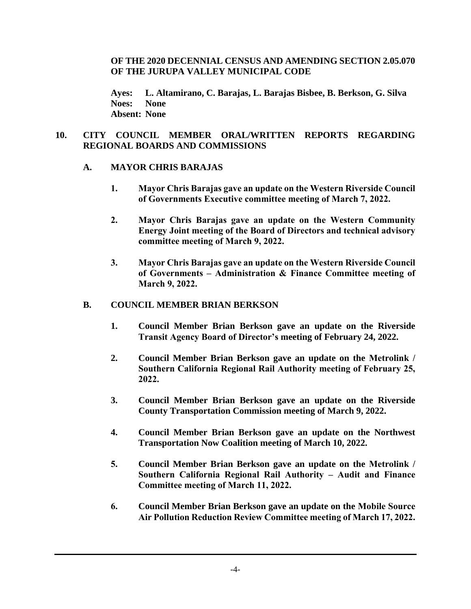## **OF THE 2020 DECENNIAL CENSUS AND AMENDING SECTION 2.05.070 OF THE JURUPA VALLEY MUNICIPAL CODE**

**Ayes: L. Altamirano, C. Barajas, L. Barajas Bisbee, B. Berkson, G. Silva Noes: None Absent: None**

## **10. CITY COUNCIL MEMBER ORAL/WRITTEN REPORTS REGARDING REGIONAL BOARDS AND COMMISSIONS**

## **A. MAYOR CHRIS BARAJAS**

- **1. Mayor Chris Barajas gave an update on the Western Riverside Council of Governments Executive committee meeting of March 7, 2022.**
- **2. Mayor Chris Barajas gave an update on the Western Community Energy Joint meeting of the Board of Directors and technical advisory committee meeting of March 9, 2022.**
- **3. Mayor Chris Barajas gave an update on the Western Riverside Council of Governments – Administration & Finance Committee meeting of March 9, 2022.**

# **B. COUNCIL MEMBER BRIAN BERKSON**

- **1. Council Member Brian Berkson gave an update on the Riverside Transit Agency Board of Director's meeting of February 24, 2022.**
- **2. Council Member Brian Berkson gave an update on the Metrolink / Southern California Regional Rail Authority meeting of February 25, 2022.**
- **3. Council Member Brian Berkson gave an update on the Riverside County Transportation Commission meeting of March 9, 2022.**
- **4. Council Member Brian Berkson gave an update on the Northwest Transportation Now Coalition meeting of March 10, 2022.**
- **5. Council Member Brian Berkson gave an update on the Metrolink / Southern California Regional Rail Authority – Audit and Finance Committee meeting of March 11, 2022.**
- **6. Council Member Brian Berkson gave an update on the Mobile Source Air Pollution Reduction Review Committee meeting of March 17, 2022.**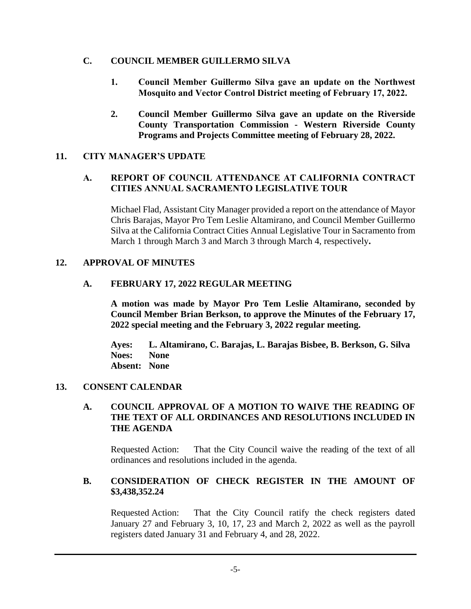## **C. COUNCIL MEMBER GUILLERMO SILVA**

- **1. Council Member Guillermo Silva gave an update on the Northwest Mosquito and Vector Control District meeting of February 17, 2022.**
- **2. Council Member Guillermo Silva gave an update on the Riverside County Transportation Commission - Western Riverside County Programs and Projects Committee meeting of February 28, 2022.**

## **11. CITY MANAGER'S UPDATE**

# **A. REPORT OF COUNCIL ATTENDANCE AT CALIFORNIA CONTRACT CITIES ANNUAL SACRAMENTO LEGISLATIVE TOUR**

Michael Flad, Assistant City Manager provided a report on the attendance of Mayor Chris Barajas, Mayor Pro Tem Leslie Altamirano, and Council Member Guillermo Silva at the California Contract Cities Annual Legislative Tour in Sacramento from March 1 through March 3 and March 3 through March 4, respectively**.**

## **12. APPROVAL OF MINUTES**

## **A. FEBRUARY 17, 2022 REGULAR MEETING**

**A motion was made by Mayor Pro Tem Leslie Altamirano, seconded by Council Member Brian Berkson, to approve the Minutes of the February 17, 2022 special meeting and the February 3, 2022 regular meeting.**

**Ayes: L. Altamirano, C. Barajas, L. Barajas Bisbee, B. Berkson, G. Silva Noes: None Absent: None**

#### **13. CONSENT CALENDAR**

#### **A. COUNCIL APPROVAL OF A MOTION TO WAIVE THE READING OF THE TEXT OF ALL ORDINANCES AND RESOLUTIONS INCLUDED IN THE AGENDA**

Requested Action: That the City Council waive the reading of the text of all ordinances and resolutions included in the agenda.

## **B. CONSIDERATION OF CHECK REGISTER IN THE AMOUNT OF \$3,438,352.24**

Requested Action: That the City Council ratify the check registers dated January 27 and February 3, 10, 17, 23 and March 2, 2022 as well as the payroll registers dated January 31 and February 4, and 28, 2022.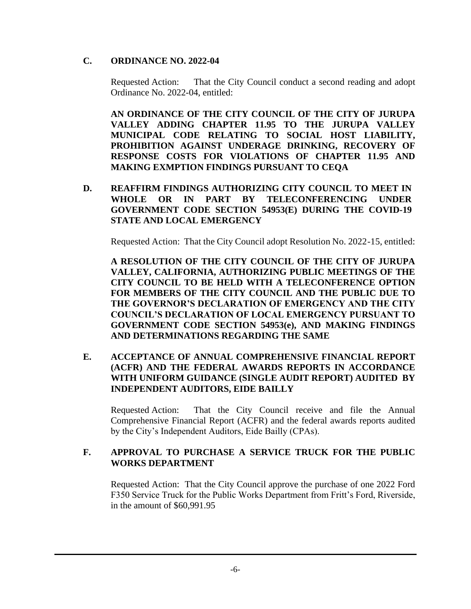# **C. ORDINANCE NO. 2022-04**

Requested Action: That the City Council conduct a second reading and adopt Ordinance No. 2022-04, entitled:

**AN ORDINANCE OF THE CITY COUNCIL OF THE CITY OF JURUPA VALLEY ADDING CHAPTER 11.95 TO THE JURUPA VALLEY MUNICIPAL CODE RELATING TO SOCIAL HOST LIABILITY, PROHIBITION AGAINST UNDERAGE DRINKING, RECOVERY OF RESPONSE COSTS FOR VIOLATIONS OF CHAPTER 11.95 AND MAKING EXMPTION FINDINGS PURSUANT TO CEQA**

**D. REAFFIRM FINDINGS AUTHORIZING CITY COUNCIL TO MEET IN WHOLE OR IN PART BY TELECONFERENCING UNDER GOVERNMENT CODE SECTION 54953(E) DURING THE COVID-19 STATE AND LOCAL EMERGENCY**

Requested Action: That the City Council adopt Resolution No. 2022-15, entitled:

**A RESOLUTION OF THE CITY COUNCIL OF THE CITY OF JURUPA VALLEY, CALIFORNIA, AUTHORIZING PUBLIC MEETINGS OF THE CITY COUNCIL TO BE HELD WITH A TELECONFERENCE OPTION FOR MEMBERS OF THE CITY COUNCIL AND THE PUBLIC DUE TO THE GOVERNOR'S DECLARATION OF EMERGENCY AND THE CITY COUNCIL'S DECLARATION OF LOCAL EMERGENCY PURSUANT TO GOVERNMENT CODE SECTION 54953(e), AND MAKING FINDINGS AND DETERMINATIONS REGARDING THE SAME**

**E. ACCEPTANCE OF ANNUAL COMPREHENSIVE FINANCIAL REPORT (ACFR) AND THE FEDERAL AWARDS REPORTS IN ACCORDANCE WITH UNIFORM GUIDANCE (SINGLE AUDIT REPORT) AUDITED BY INDEPENDENT AUDITORS, EIDE BAILLY**

Requested Action: That the City Council receive and file the Annual Comprehensive Financial Report (ACFR) and the federal awards reports audited by the City's Independent Auditors, Eide Bailly (CPAs).

# **F. APPROVAL TO PURCHASE A SERVICE TRUCK FOR THE PUBLIC WORKS DEPARTMENT**

Requested Action: That the City Council approve the purchase of one 2022 Ford F350 Service Truck for the Public Works Department from Fritt's Ford, Riverside, in the amount of \$60,991.95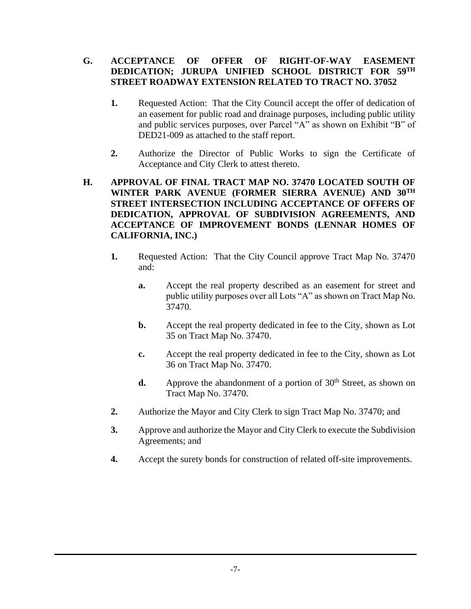# **G. ACCEPTANCE OF OFFER OF RIGHT-OF-WAY EASEMENT DEDICATION; JURUPA UNIFIED SCHOOL DISTRICT FOR 59TH STREET ROADWAY EXTENSION RELATED TO TRACT NO. 37052**

- **1.** Requested Action: That the City Council accept the offer of dedication of an easement for public road and drainage purposes, including public utility and public services purposes, over Parcel "A" as shown on Exhibit "B" of DED21-009 as attached to the staff report.
- **2.** Authorize the Director of Public Works to sign the Certificate of Acceptance and City Clerk to attest thereto.

## **H. APPROVAL OF FINAL TRACT MAP NO. 37470 LOCATED SOUTH OF WINTER PARK AVENUE (FORMER SIERRA AVENUE) AND 30TH STREET INTERSECTION INCLUDING ACCEPTANCE OF OFFERS OF DEDICATION, APPROVAL OF SUBDIVISION AGREEMENTS, AND ACCEPTANCE OF IMPROVEMENT BONDS (LENNAR HOMES OF CALIFORNIA, INC.)**

- **1.** Requested Action: That the City Council approve Tract Map No. 37470 and:
	- **a.** Accept the real property described as an easement for street and public utility purposes over all Lots "A" as shown on Tract Map No. 37470.
	- **b.** Accept the real property dedicated in fee to the City, shown as Lot 35 on Tract Map No. 37470.
	- **c.** Accept the real property dedicated in fee to the City, shown as Lot 36 on Tract Map No. 37470.
	- **d.** Approve the abandonment of a portion of  $30<sup>th</sup>$  Street, as shown on Tract Map No. 37470.
- **2.** Authorize the Mayor and City Clerk to sign Tract Map No. 37470; and
- **3.** Approve and authorize the Mayor and City Clerk to execute the Subdivision Agreements; and
- **4.** Accept the surety bonds for construction of related off-site improvements.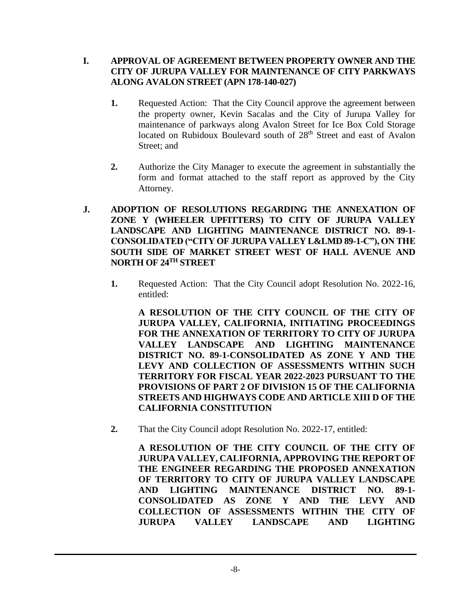# **I. APPROVAL OF AGREEMENT BETWEEN PROPERTY OWNER AND THE CITY OF JURUPA VALLEY FOR MAINTENANCE OF CITY PARKWAYS ALONG AVALON STREET (APN 178-140-027)**

- **1.** Requested Action: That the City Council approve the agreement between the property owner, Kevin Sacalas and the City of Jurupa Valley for maintenance of parkways along Avalon Street for Ice Box Cold Storage located on Rubidoux Boulevard south of 28<sup>th</sup> Street and east of Avalon Street; and
- **2.** Authorize the City Manager to execute the agreement in substantially the form and format attached to the staff report as approved by the City Attorney.
- **J. ADOPTION OF RESOLUTIONS REGARDING THE ANNEXATION OF ZONE Y (WHEELER UPFITTERS) TO CITY OF JURUPA VALLEY LANDSCAPE AND LIGHTING MAINTENANCE DISTRICT NO. 89-1- CONSOLIDATED ("CITY OF JURUPA VALLEY L&LMD 89-1-C"), ON THE SOUTH SIDE OF MARKET STREET WEST OF HALL AVENUE AND NORTH OF 24TH STREET**
	- **1.** Requested Action: That the City Council adopt Resolution No. 2022-16, entitled:

**A RESOLUTION OF THE CITY COUNCIL OF THE CITY OF JURUPA VALLEY, CALIFORNIA, INITIATING PROCEEDINGS FOR THE ANNEXATION OF TERRITORY TO CITY OF JURUPA VALLEY LANDSCAPE AND LIGHTING MAINTENANCE DISTRICT NO. 89-1-CONSOLIDATED AS ZONE Y AND THE LEVY AND COLLECTION OF ASSESSMENTS WITHIN SUCH TERRITORY FOR FISCAL YEAR 2022-2023 PURSUANT TO THE PROVISIONS OF PART 2 OF DIVISION 15 OF THE CALIFORNIA STREETS AND HIGHWAYS CODE AND ARTICLE XIII D OF THE CALIFORNIA CONSTITUTION**

**2.** That the City Council adopt Resolution No. 2022-17, entitled:

**A RESOLUTION OF THE CITY COUNCIL OF THE CITY OF JURUPA VALLEY, CALIFORNIA, APPROVING THE REPORT OF THE ENGINEER REGARDING THE PROPOSED ANNEXATION OF TERRITORY TO CITY OF JURUPA VALLEY LANDSCAPE AND LIGHTING MAINTENANCE DISTRICT NO. 89-1- CONSOLIDATED AS ZONE Y AND THE LEVY AND COLLECTION OF ASSESSMENTS WITHIN THE CITY OF JURUPA VALLEY LANDSCAPE AND LIGHTING**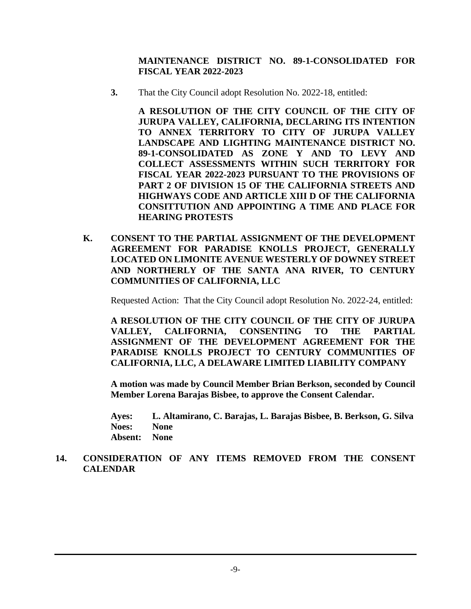**MAINTENANCE DISTRICT NO. 89-1-CONSOLIDATED FOR FISCAL YEAR 2022-2023**

**3.** That the City Council adopt Resolution No. 2022-18, entitled:

**A RESOLUTION OF THE CITY COUNCIL OF THE CITY OF JURUPA VALLEY, CALIFORNIA, DECLARING ITS INTENTION TO ANNEX TERRITORY TO CITY OF JURUPA VALLEY LANDSCAPE AND LIGHTING MAINTENANCE DISTRICT NO. 89-1-CONSOLIDATED AS ZONE Y AND TO LEVY AND COLLECT ASSESSMENTS WITHIN SUCH TERRITORY FOR FISCAL YEAR 2022-2023 PURSUANT TO THE PROVISIONS OF PART 2 OF DIVISION 15 OF THE CALIFORNIA STREETS AND HIGHWAYS CODE AND ARTICLE XIII D OF THE CALIFORNIA CONSITTUTION AND APPOINTING A TIME AND PLACE FOR HEARING PROTESTS**

**K. CONSENT TO THE PARTIAL ASSIGNMENT OF THE DEVELOPMENT AGREEMENT FOR PARADISE KNOLLS PROJECT, GENERALLY LOCATED ON LIMONITE AVENUE WESTERLY OF DOWNEY STREET AND NORTHERLY OF THE SANTA ANA RIVER, TO CENTURY COMMUNITIES OF CALIFORNIA, LLC**

Requested Action:That the City Council adopt Resolution No. 2022-24, entitled:

**A RESOLUTION OF THE CITY COUNCIL OF THE CITY OF JURUPA VALLEY, CALIFORNIA, CONSENTING TO THE PARTIAL ASSIGNMENT OF THE DEVELOPMENT AGREEMENT FOR THE PARADISE KNOLLS PROJECT TO CENTURY COMMUNITIES OF CALIFORNIA, LLC, A DELAWARE LIMITED LIABILITY COMPANY**

**A motion was made by Council Member Brian Berkson, seconded by Council Member Lorena Barajas Bisbee, to approve the Consent Calendar.**

**Ayes: L. Altamirano, C. Barajas, L. Barajas Bisbee, B. Berkson, G. Silva Noes: None Absent: None**

**14. CONSIDERATION OF ANY ITEMS REMOVED FROM THE CONSENT CALENDAR**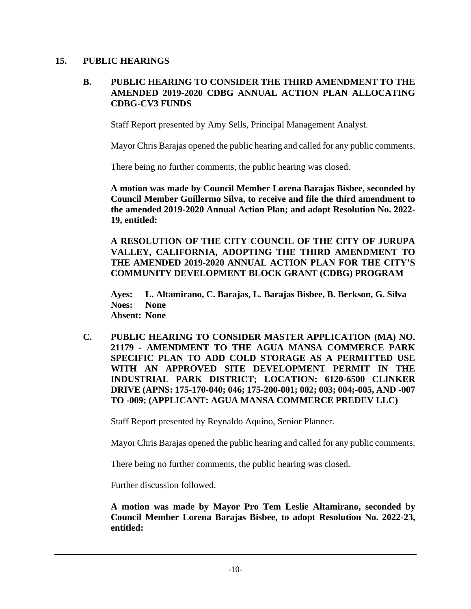#### **15. PUBLIC HEARINGS**

## **B. PUBLIC HEARING TO CONSIDER THE THIRD AMENDMENT TO THE AMENDED 2019-2020 CDBG ANNUAL ACTION PLAN ALLOCATING CDBG-CV3 FUNDS**

Staff Report presented by Amy Sells, Principal Management Analyst.

Mayor Chris Barajas opened the public hearing and called for any public comments.

There being no further comments, the public hearing was closed.

**A motion was made by Council Member Lorena Barajas Bisbee, seconded by Council Member Guillermo Silva, to receive and file the third amendment to the amended 2019-2020 Annual Action Plan; and adopt Resolution No. 2022- 19, entitled:**

**A RESOLUTION OF THE CITY COUNCIL OF THE CITY OF JURUPA VALLEY, CALIFORNIA, ADOPTING THE THIRD AMENDMENT TO THE AMENDED 2019-2020 ANNUAL ACTION PLAN FOR THE CITY'S COMMUNITY DEVELOPMENT BLOCK GRANT (CDBG) PROGRAM**

**Ayes: L. Altamirano, C. Barajas, L. Barajas Bisbee, B. Berkson, G. Silva Noes: None Absent: None**

**C. PUBLIC HEARING TO CONSIDER MASTER APPLICATION (MA) NO. 21179 - AMENDMENT TO THE AGUA MANSA COMMERCE PARK SPECIFIC PLAN TO ADD COLD STORAGE AS A PERMITTED USE WITH AN APPROVED SITE DEVELOPMENT PERMIT IN THE INDUSTRIAL PARK DISTRICT; LOCATION: 6120-6500 CLINKER DRIVE (APNS: 175-170-040; 046; 175-200-001; 002; 003; 004;-005, AND -007 TO -009; (APPLICANT: AGUA MANSA COMMERCE PREDEV LLC)**

Staff Report presented by Reynaldo Aquino, Senior Planner.

Mayor Chris Barajas opened the public hearing and called for any public comments.

There being no further comments, the public hearing was closed.

Further discussion followed.

**A motion was made by Mayor Pro Tem Leslie Altamirano, seconded by Council Member Lorena Barajas Bisbee, to adopt Resolution No. 2022-23, entitled:**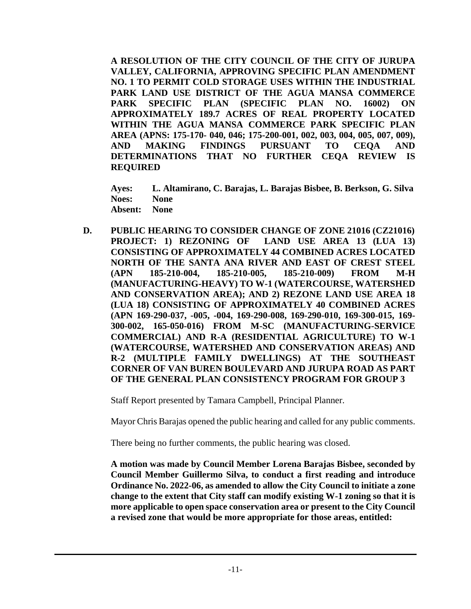**A RESOLUTION OF THE CITY COUNCIL OF THE CITY OF JURUPA VALLEY, CALIFORNIA, APPROVING SPECIFIC PLAN AMENDMENT NO. 1 TO PERMIT COLD STORAGE USES WITHIN THE INDUSTRIAL PARK LAND USE DISTRICT OF THE AGUA MANSA COMMERCE PARK SPECIFIC PLAN (SPECIFIC PLAN NO. 16002) ON APPROXIMATELY 189.7 ACRES OF REAL PROPERTY LOCATED WITHIN THE AGUA MANSA COMMERCE PARK SPECIFIC PLAN AREA (APNS: 175-170- 040, 046; 175-200-001, 002, 003, 004, 005, 007, 009), AND MAKING FINDINGS PURSUANT TO CEQA AND DETERMINATIONS THAT NO FURTHER CEQA REVIEW IS REQUIRED**

**Ayes: L. Altamirano, C. Barajas, L. Barajas Bisbee, B. Berkson, G. Silva Noes: None Absent: None**

**D. PUBLIC HEARING TO CONSIDER CHANGE OF ZONE 21016 (CZ21016) PROJECT: 1) REZONING OF LAND USE AREA 13 (LUA 13) CONSISTING OF APPROXIMATELY 44 COMBINED ACRES LOCATED NORTH OF THE SANTA ANA RIVER AND EAST OF CREST STEEL (APN 185-210-004, 185-210-005, 185-210-009) FROM M-H (MANUFACTURING-HEAVY) TO W-1 (WATERCOURSE, WATERSHED AND CONSERVATION AREA); AND 2) REZONE LAND USE AREA 18 (LUA 18) CONSISTING OF APPROXIMATELY 40 COMBINED ACRES (APN 169-290-037, -005, -004, 169-290-008, 169-290-010, 169-300-015, 169- 300-002, 165-050-016) FROM M-SC (MANUFACTURING-SERVICE COMMERCIAL) AND R-A (RESIDENTIAL AGRICULTURE) TO W-1 (WATERCOURSE, WATERSHED AND CONSERVATION AREAS) AND R-2 (MULTIPLE FAMILY DWELLINGS) AT THE SOUTHEAST CORNER OF VAN BUREN BOULEVARD AND JURUPA ROAD AS PART OF THE GENERAL PLAN CONSISTENCY PROGRAM FOR GROUP 3**

Staff Report presented by Tamara Campbell, Principal Planner.

Mayor Chris Barajas opened the public hearing and called for any public comments.

There being no further comments, the public hearing was closed.

**A motion was made by Council Member Lorena Barajas Bisbee, seconded by Council Member Guillermo Silva, to conduct a first reading and introduce Ordinance No. 2022-06, as amended to allow the City Council to initiate a zone change to the extent that City staff can modify existing W-1 zoning so that it is more applicable to open space conservation area or present to the City Council a revised zone that would be more appropriate for those areas, entitled:**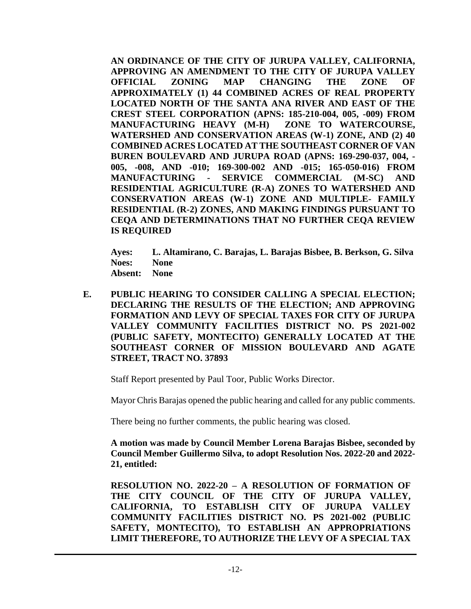**AN ORDINANCE OF THE CITY OF JURUPA VALLEY, CALIFORNIA, APPROVING AN AMENDMENT TO THE CITY OF JURUPA VALLEY OFFICIAL ZONING MAP CHANGING THE ZONE OF APPROXIMATELY (1) 44 COMBINED ACRES OF REAL PROPERTY LOCATED NORTH OF THE SANTA ANA RIVER AND EAST OF THE CREST STEEL CORPORATION (APNS: 185-210-004, 005, -009) FROM MANUFACTURING HEAVY (M-H) ZONE TO WATERCOURSE, WATERSHED AND CONSERVATION AREAS (W-1) ZONE, AND (2) 40 COMBINED ACRES LOCATED AT THE SOUTHEAST CORNER OF VAN BUREN BOULEVARD AND JURUPA ROAD (APNS: 169-290-037, 004, - 005, -008, AND -010; 169-300-002 AND -015; 165-050-016) FROM MANUFACTURING - SERVICE COMMERCIAL (M-SC) AND RESIDENTIAL AGRICULTURE (R-A) ZONES TO WATERSHED AND CONSERVATION AREAS (W-1) ZONE AND MULTIPLE- FAMILY RESIDENTIAL (R-2) ZONES, AND MAKING FINDINGS PURSUANT TO CEQA AND DETERMINATIONS THAT NO FURTHER CEQA REVIEW IS REQUIRED**

**Ayes: L. Altamirano, C. Barajas, L. Barajas Bisbee, B. Berkson, G. Silva Noes: None Absent: None**

**E. PUBLIC HEARING TO CONSIDER CALLING A SPECIAL ELECTION; DECLARING THE RESULTS OF THE ELECTION; AND APPROVING FORMATION AND LEVY OF SPECIAL TAXES FOR CITY OF JURUPA VALLEY COMMUNITY FACILITIES DISTRICT NO. PS 2021-002 (PUBLIC SAFETY, MONTECITO) GENERALLY LOCATED AT THE SOUTHEAST CORNER OF MISSION BOULEVARD AND AGATE STREET, TRACT NO. 37893**

Staff Report presented by Paul Toor, Public Works Director.

Mayor Chris Barajas opened the public hearing and called for any public comments.

There being no further comments, the public hearing was closed.

**A motion was made by Council Member Lorena Barajas Bisbee, seconded by Council Member Guillermo Silva, to adopt Resolution Nos. 2022-20 and 2022- 21, entitled:**

**RESOLUTION NO. 2022-20 – A RESOLUTION OF FORMATION OF THE CITY COUNCIL OF THE CITY OF JURUPA VALLEY, CALIFORNIA, TO ESTABLISH CITY OF JURUPA VALLEY COMMUNITY FACILITIES DISTRICT NO. PS 2021-002 (PUBLIC SAFETY, MONTECITO), TO ESTABLISH AN APPROPRIATIONS LIMIT THEREFORE, TO AUTHORIZE THE LEVY OF A SPECIAL TAX**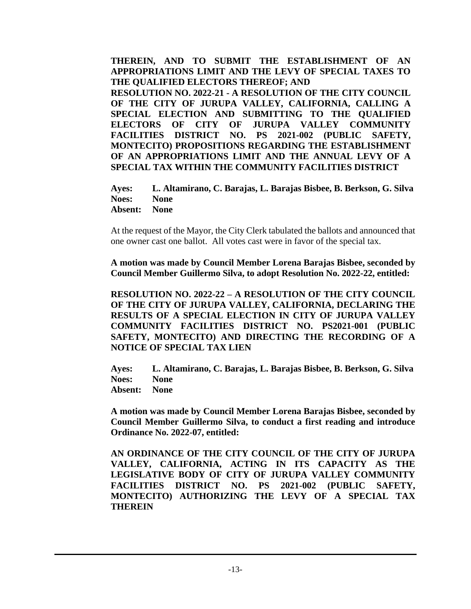**THEREIN, AND TO SUBMIT THE ESTABLISHMENT OF AN APPROPRIATIONS LIMIT AND THE LEVY OF SPECIAL TAXES TO THE QUALIFIED ELECTORS THEREOF; AND RESOLUTION NO. 2022-21 - A RESOLUTION OF THE CITY COUNCIL OF THE CITY OF JURUPA VALLEY, CALIFORNIA, CALLING A SPECIAL ELECTION AND SUBMITTING TO THE QUALIFIED ELECTORS OF CITY OF JURUPA VALLEY COMMUNITY FACILITIES DISTRICT NO. PS 2021-002 (PUBLIC SAFETY, MONTECITO) PROPOSITIONS REGARDING THE ESTABLISHMENT OF AN APPROPRIATIONS LIMIT AND THE ANNUAL LEVY OF A SPECIAL TAX WITHIN THE COMMUNITY FACILITIES DISTRICT**

**Ayes: L. Altamirano, C. Barajas, L. Barajas Bisbee, B. Berkson, G. Silva Noes: None**

**Absent: None**

At the request of the Mayor, the City Clerk tabulated the ballots and announced that one owner cast one ballot. All votes cast were in favor of the special tax.

**A motion was made by Council Member Lorena Barajas Bisbee, seconded by Council Member Guillermo Silva, to adopt Resolution No. 2022-22, entitled:**

**RESOLUTION NO. 2022-22 – A RESOLUTION OF THE CITY COUNCIL OF THE CITY OF JURUPA VALLEY, CALIFORNIA, DECLARING THE RESULTS OF A SPECIAL ELECTION IN CITY OF JURUPA VALLEY COMMUNITY FACILITIES DISTRICT NO. PS2021-001 (PUBLIC SAFETY, MONTECITO) AND DIRECTING THE RECORDING OF A NOTICE OF SPECIAL TAX LIEN**

**Ayes: L. Altamirano, C. Barajas, L. Barajas Bisbee, B. Berkson, G. Silva Noes: None Absent: None**

**A motion was made by Council Member Lorena Barajas Bisbee, seconded by Council Member Guillermo Silva, to conduct a first reading and introduce Ordinance No. 2022-07, entitled:**

**AN ORDINANCE OF THE CITY COUNCIL OF THE CITY OF JURUPA VALLEY, CALIFORNIA, ACTING IN ITS CAPACITY AS THE LEGISLATIVE BODY OF CITY OF JURUPA VALLEY COMMUNITY FACILITIES DISTRICT NO. PS 2021-002 (PUBLIC SAFETY, MONTECITO) AUTHORIZING THE LEVY OF A SPECIAL TAX THEREIN**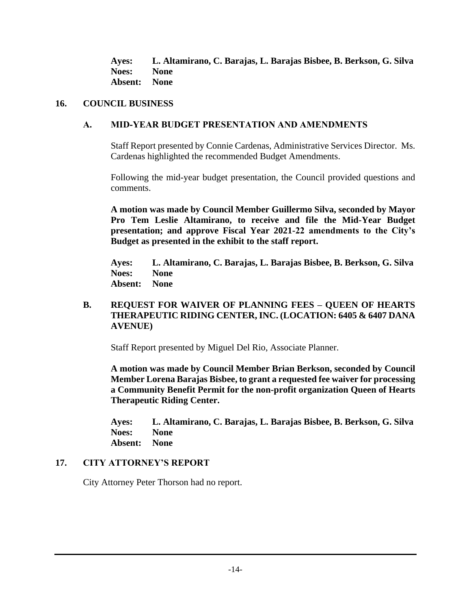**Ayes: L. Altamirano, C. Barajas, L. Barajas Bisbee, B. Berkson, G. Silva Noes: None Absent: None**

# **16. COUNCIL BUSINESS**

## **A. MID-YEAR BUDGET PRESENTATION AND AMENDMENTS**

Staff Report presented by Connie Cardenas, Administrative Services Director. Ms. Cardenas highlighted the recommended Budget Amendments.

Following the mid-year budget presentation, the Council provided questions and comments.

**A motion was made by Council Member Guillermo Silva, seconded by Mayor Pro Tem Leslie Altamirano, to receive and file the Mid-Year Budget presentation; and approve Fiscal Year 2021-22 amendments to the City's Budget as presented in the exhibit to the staff report.** 

**Ayes: L. Altamirano, C. Barajas, L. Barajas Bisbee, B. Berkson, G. Silva Noes: None Absent: None**

# **B. REQUEST FOR WAIVER OF PLANNING FEES – QUEEN OF HEARTS THERAPEUTIC RIDING CENTER, INC. (LOCATION: 6405 & 6407 DANA AVENUE)**

Staff Report presented by Miguel Del Rio, Associate Planner.

**A motion was made by Council Member Brian Berkson, seconded by Council Member Lorena Barajas Bisbee, to grant a requested fee waiver for processing a Community Benefit Permit for the non-profit organization Queen of Hearts Therapeutic Riding Center.**

**Ayes: L. Altamirano, C. Barajas, L. Barajas Bisbee, B. Berkson, G. Silva Noes: None Absent: None**

# **17. CITY ATTORNEY'S REPORT**

City Attorney Peter Thorson had no report.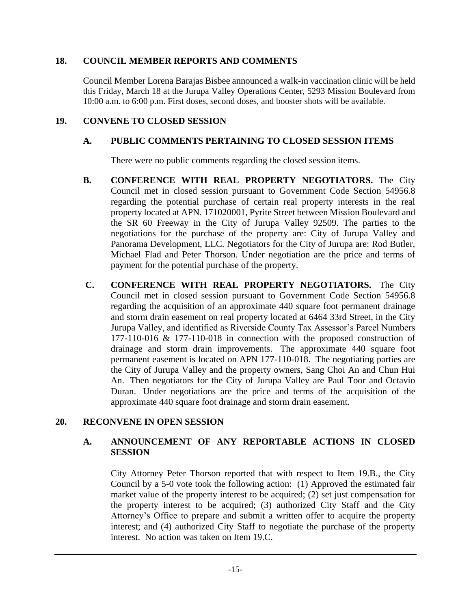# **18. COUNCIL MEMBER REPORTS AND COMMENTS**

Council Member Lorena Barajas Bisbee announced a walk-in vaccination clinic will be held this Friday, March 18 at the Jurupa Valley Operations Center, 5293 Mission Boulevard from 10:00 a.m. to 6:00 p.m. First doses, second doses, and booster shots will be available.

# **19. CONVENE TO CLOSED SESSION**

# **A. PUBLIC COMMENTS PERTAINING TO CLOSED SESSION ITEMS**

There were no public comments regarding the closed session items.

- **B. CONFERENCE WITH REAL PROPERTY NEGOTIATORS.** The City Council met in closed session pursuant to Government Code Section 54956.8 regarding the potential purchase of certain real property interests in the real property located at APN. 171020001, Pyrite Street between Mission Boulevard and the SR 60 Freeway in the City of Jurupa Valley 92509. The parties to the negotiations for the purchase of the property are: City of Jurupa Valley and Panorama Development, LLC. Negotiators for the City of Jurupa are: Rod Butler, Michael Flad and Peter Thorson. Under negotiation are the price and terms of payment for the potential purchase of the property.
- **C. CONFERENCE WITH REAL PROPERTY NEGOTIATORS.** The City Council met in closed session pursuant to Government Code Section 54956.8 regarding the acquisition of an approximate 440 square foot permanent drainage and storm drain easement on real property located at 6464 33rd Street, in the City Jurupa Valley, and identified as Riverside County Tax Assessor's Parcel Numbers 177-110-016 & 177-110-018 in connection with the proposed construction of drainage and storm drain improvements. The approximate 440 square foot permanent easement is located on APN 177-110-018. The negotiating parties are the City of Jurupa Valley and the property owners, Sang Choi An and Chun Hui An. Then negotiators for the City of Jurupa Valley are Paul Toor and Octavio Duran. Under negotiations are the price and terms of the acquisition of the approximate 440 square foot drainage and storm drain easement.

# **20. RECONVENE IN OPEN SESSION**

# **A. ANNOUNCEMENT OF ANY REPORTABLE ACTIONS IN CLOSED SESSION**

City Attorney Peter Thorson reported that with respect to Item 19.B., the City Council by a 5-0 vote took the following action: (1) Approved the estimated fair market value of the property interest to be acquired; (2) set just compensation for the property interest to be acquired; (3) authorized City Staff and the City Attorney's Office to prepare and submit a written offer to acquire the property interest; and (4) authorized City Staff to negotiate the purchase of the property interest. No action was taken on Item 19.C.